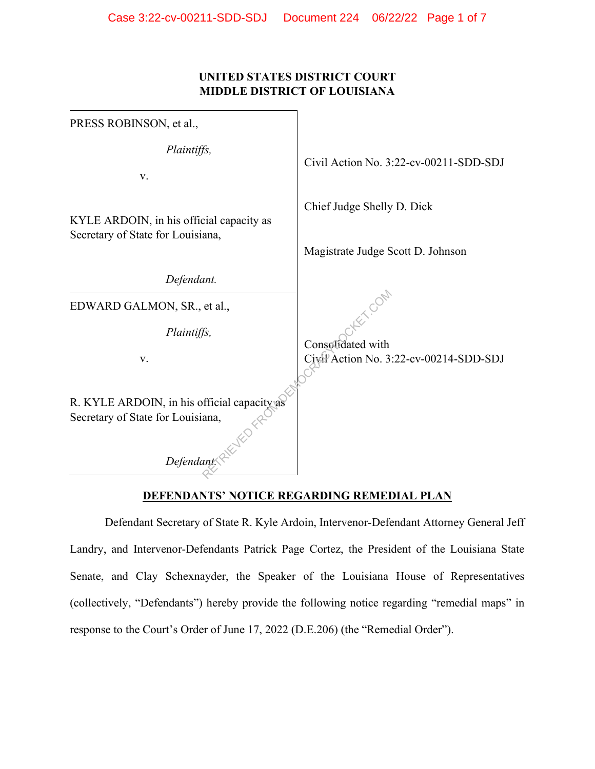## **UNITED STATES DISTRICT COURT MIDDLE DISTRICT OF LOUISIANA**

| PRESS ROBINSON, et al.,                                                                        |                                                                 |
|------------------------------------------------------------------------------------------------|-----------------------------------------------------------------|
| Plaintiffs,<br>V.                                                                              | Civil Action No. 3:22-cv-00211-SDD-SDJ                          |
| KYLE ARDOIN, in his official capacity as<br>Secretary of State for Louisiana,                  | Chief Judge Shelly D. Dick<br>Magistrate Judge Scott D. Johnson |
| Defendant.                                                                                     |                                                                 |
| EDWARD GALMON, SR., et al.,<br>Plaintiffs,<br>V.                                               | Consolidated with<br>Civil Action No. 3:22-cv-00214-SDD-SDJ     |
| R. KYLE ARDOIN, in his official capacity as<br>Secretary of State for Louisiana,<br>Defendant: |                                                                 |

# **DEFENDANTS' NOTICE REGARDING REMEDIAL PLAN**

Defendant Secretary of State R. Kyle Ardoin, Intervenor-Defendant Attorney General Jeff Landry, and Intervenor-Defendants Patrick Page Cortez, the President of the Louisiana State Senate, and Clay Schexnayder, the Speaker of the Louisiana House of Representatives (collectively, "Defendants") hereby provide the following notice regarding "remedial maps" in response to the Court's Order of June 17, 2022 (D.E.206) (the "Remedial Order").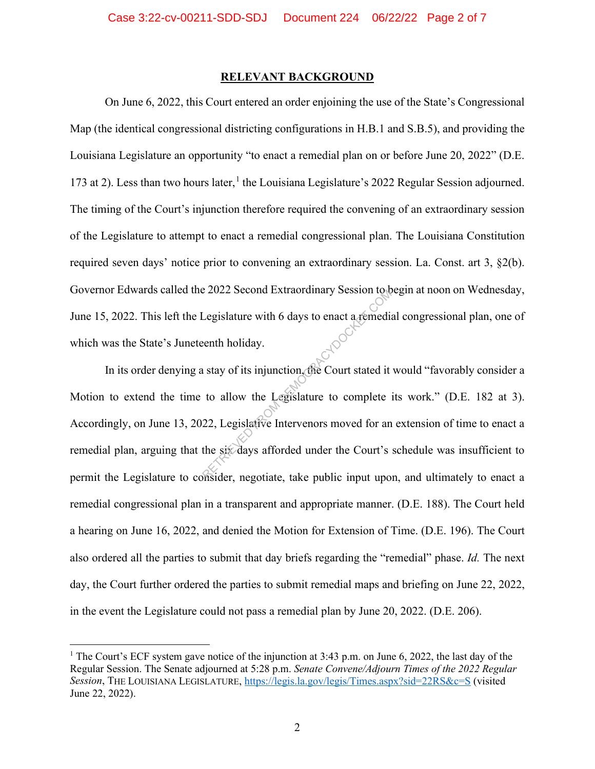#### **RELEVANT BACKGROUND**

On June 6, 2022, this Court entered an order enjoining the use of the State's Congressional Map (the identical congressional districting configurations in H.B.1 and S.B.5), and providing the Louisiana Legislature an opportunity "to enact a remedial plan on or before June 20, 2022" (D.E. 173 at 2). Less than two hours later,<sup>1</sup> the Louisiana Legislature's 2022 Regular Session adjourned. The timing of the Court's injunction therefore required the convening of an extraordinary session of the Legislature to attempt to enact a remedial congressional plan. The Louisiana Constitution required seven days' notice prior to convening an extraordinary session. La. Const. art 3, §2(b). Governor Edwards called the 2022 Second Extraordinary Session to begin at noon on Wednesday, June 15, 2022. This left the Legislature with 6 days to enact a remedial congressional plan, one of which was the State's Juneteenth holiday.

In its order denying a stay of its injunction, the Court stated it would "favorably consider a Motion to extend the time to allow the Legislature to complete its work." (D.E. 182 at 3). Accordingly, on June 13, 2022, Legislative Intervenors moved for an extension of time to enact a remedial plan, arguing that the six days afforded under the Court's schedule was insufficient to permit the Legislature to consider, negotiate, take public input upon, and ultimately to enact a remedial congressional plan in a transparent and appropriate manner. (D.E. 188). The Court held a hearing on June 16, 2022, and denied the Motion for Extension of Time. (D.E. 196). The Court also ordered all the parties to submit that day briefs regarding the "remedial" phase. *Id.* The next day, the Court further ordered the parties to submit remedial maps and briefing on June 22, 2022, in the event the Legislature could not pass a remedial plan by June 20, 2022. (D.E. 206). Expectition of the six-days afforded under the Court stated it<br>to allow the Legislature to complete<br>22, Legislative Intervenors moved for an<br>the six-days afforded under the Court's<br>weider negotiate take public input upo

<sup>&</sup>lt;sup>1</sup> The Court's ECF system gave notice of the injunction at 3:43 p.m. on June 6, 2022, the last day of the Regular Session. The Senate adjourned at 5:28 p.m. *Senate Convene/Adjourn Times of the 2022 Regular Session*, THE LOUISIANA LEGISLATURE, https://legis.la.gov/legis/Times.aspx?sid=22RS&c=S (visited June 22, 2022).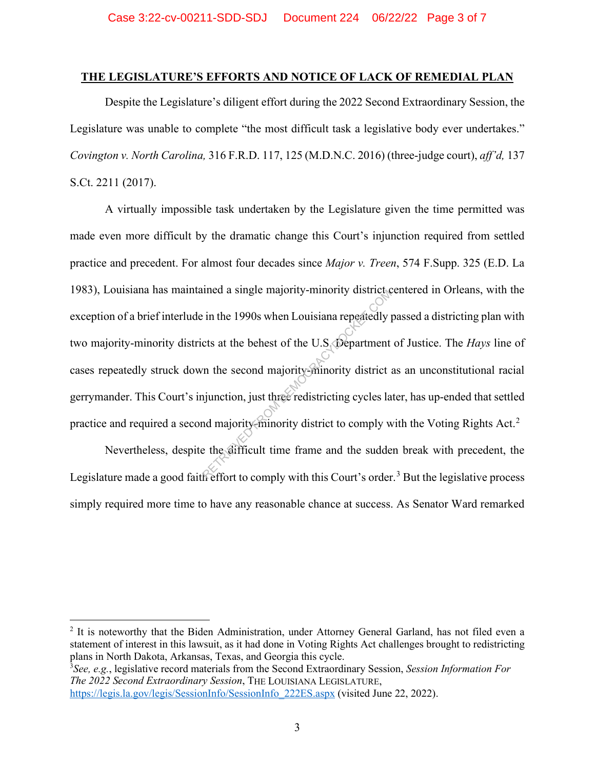### **THE LEGISLATURE'S EFFORTS AND NOTICE OF LACK OF REMEDIAL PLAN**

Despite the Legislature's diligent effort during the 2022 Second Extraordinary Session, the Legislature was unable to complete "the most difficult task a legislative body ever undertakes." *Covington v. North Carolina,* 316 F.R.D. 117, 125 (M.D.N.C. 2016) (three-judge court), *aff'd,* 137 S.Ct. 2211 (2017).

A virtually impossible task undertaken by the Legislature given the time permitted was made even more difficult by the dramatic change this Court's injunction required from settled practice and precedent. For almost four decades since *Major v. Treen*, 574 F.Supp. 325 (E.D. La 1983), Louisiana has maintained a single majority-minority district centered in Orleans, with the exception of a brief interlude in the 1990s when Louisiana repeatedly passed a districting plan with two majority-minority districts at the behest of the U.S. Department of Justice. The *Hays* line of cases repeatedly struck down the second majority-minority district as an unconstitutional racial gerrymander. This Court's injunction, just three redistricting cycles later, has up-ended that settled practice and required a second majority-minority district to comply with the Voting Rights Act.<sup>2</sup> From the 1990s when Louisiana repeatedly provided in the 1990s when Louisiana repeatedly provided as a the behest of the U.S. Department<br>the second majority-minority district and the second majority-minority district is<br>in

Nevertheless, despite the difficult time frame and the sudden break with precedent, the Legislature made a good faith effort to comply with this Court's order.<sup>3</sup> But the legislative process simply required more time to have any reasonable chance at success. As Senator Ward remarked

3 *See, e.g.*, legislative record materials from the Second Extraordinary Session, *Session Information For The 2022 Second Extraordinary Session*, THE LOUISIANA LEGISLATURE, https://legis.la.gov/legis/SessionInfo/SessionInfo\_222ES.aspx (visited June 22, 2022).

<sup>&</sup>lt;sup>2</sup> It is noteworthy that the Biden Administration, under Attorney General Garland, has not filed even a statement of interest in this lawsuit, as it had done in Voting Rights Act challenges brought to redistricting plans in North Dakota, Arkansas, Texas, and Georgia this cycle.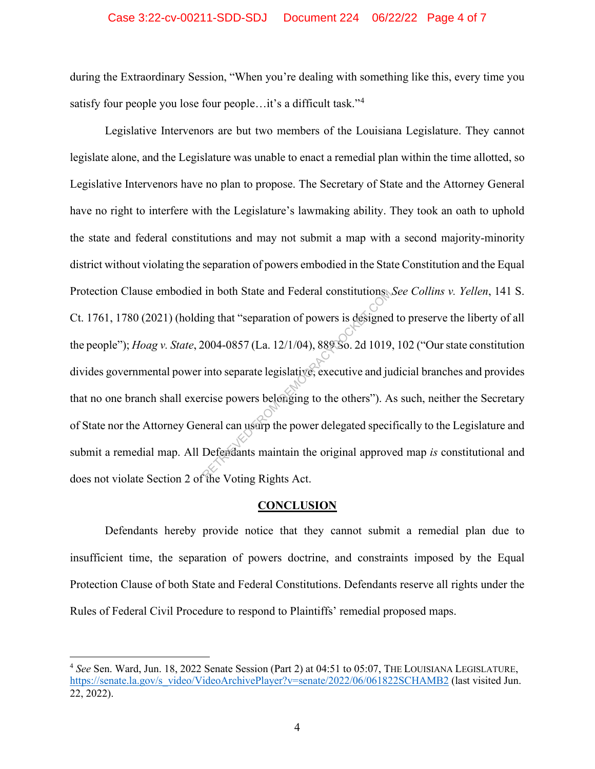#### Case 3:22-cv-00211-SDD-SDJ Document 224 06/22/22 Page 4 of 7

during the Extraordinary Session, "When you're dealing with something like this, every time you satisfy four people you lose four people...it's a difficult task."<sup>4</sup>

Legislative Intervenors are but two members of the Louisiana Legislature. They cannot legislate alone, and the Legislature was unable to enact a remedial plan within the time allotted, so Legislative Intervenors have no plan to propose. The Secretary of State and the Attorney General have no right to interfere with the Legislature's lawmaking ability. They took an oath to uphold the state and federal constitutions and may not submit a map with a second majority-minority district without violating the separation of powers embodied in the State Constitution and the Equal Protection Clause embodied in both State and Federal constitutions. *See Collins v. Yellen*, 141 S. Ct. 1761, 1780 (2021) (holding that "separation of powers is designed to preserve the liberty of all the people"); *Hoag v. State*, 2004-0857 (La. 12/1/04), 889 So. 2d 1019, 102 ("Our state constitution divides governmental power into separate legislative, executive and judicial branches and provides that no one branch shall exercise powers belonging to the others"). As such, neither the Secretary of State nor the Attorney General can usurp the power delegated specifically to the Legislature and submit a remedial map. All Defendants maintain the original approved map *is* constitutional and does not violate Section 2 of the Voting Rights Act. In both State and Federal constitutions<br>Ing that "separation of powers is designed<br>2004-0857 (La. 12/1/04), 889 So. 2d 1019<br>into separate legislative, executive and ju<br>rcise powers belonging to the others"). A<br>neral can us

#### **CONCLUSION**

Defendants hereby provide notice that they cannot submit a remedial plan due to insufficient time, the separation of powers doctrine, and constraints imposed by the Equal Protection Clause of both State and Federal Constitutions. Defendants reserve all rights under the Rules of Federal Civil Procedure to respond to Plaintiffs' remedial proposed maps.

<sup>4</sup> *See* Sen. Ward, Jun. 18, 2022 Senate Session (Part 2) at 04:51 to 05:07, THE LOUISIANA LEGISLATURE, https://senate.la.gov/s\_video/VideoArchivePlayer?v=senate/2022/06/061822SCHAMB2 (last visited Jun. 22, 2022).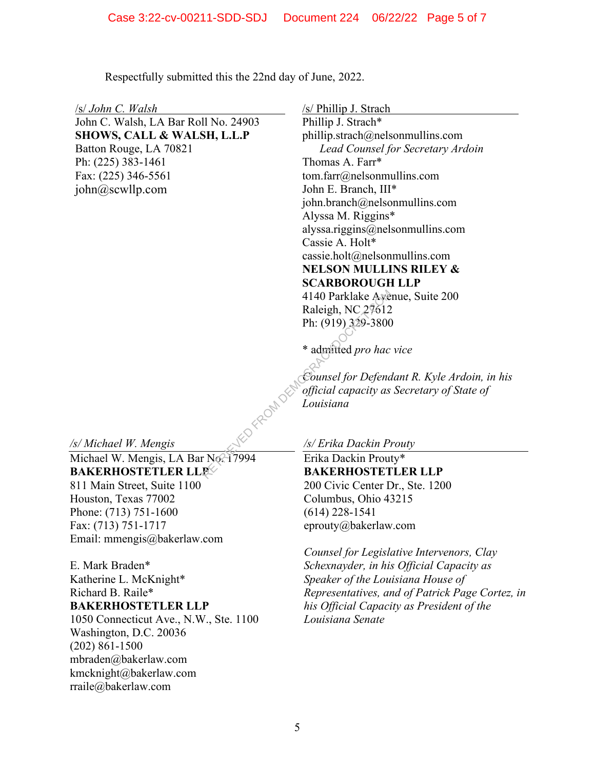Respectfully submitted this the 22nd day of June, 2022.

/s/ *John C. Walsh*

John C. Walsh, LA Bar Roll No. 24903 **SHOWS, CALL & WALSH, L.L.P**  Batton Rouge, LA 70821 Ph: (225) 383-1461 Fax: (225) 346-5561 john@scwllp.com

/s/ Phillip J. Strach

Phillip J. Strach\* phillip.strach@nelsonmullins.com *Lead Counsel for Secretary Ardoin*  Thomas A. Farr\* tom.farr@nelsonmullins.com John E. Branch, III\* john.branch@nelsonmullins.com Alyssa M. Riggins\* alyssa.riggins@nelsonmullins.com Cassie A. Holt\* cassie.holt@nelsonmullins.com **NELSON MULLINS RILEY & SCARBOROUGH LLP** 4140 Parklake Avenue, Suite 200 Raleigh, NC 27612 Ph: (919) 329-3800

\* admitted *pro hac vice*

*Counsel for Defendant R. Kyle Ardoin, in his official capacity as Secretary of State of Louisiana* 4140 Parklake Aye<br>
Raleigh, NC 27612<br>
Ph: (919) 329-3800<br>
\* admitted pro hac<br>
\* admitted pro hac<br>
Counsel for Defena<br>
official capacity as<br>
Louisiana<br>
Louisiana<br>
FROM DEMOCRACY<br>
Erika Dackin Prout<br>
BAKERHOSTET

*/s/ Michael W. Mengis* 

rraile@bakerlaw.com

Michael W. Mengis, LA Bar No. 17994 **BAKERHOSTETLER LLP** 811 Main Street, Suite 1100 Houston, Texas 77002 Phone: (713) 751-1600 Fax: (713) 751-1717 Email: mmengis@bakerlaw.com

E. Mark Braden\* Katherine L. McKnight\* Richard B. Raile\* **BAKERHOSTETLER LLP**  1050 Connecticut Ave., N.W., Ste. 1100 Washington, D.C. 20036 (202) 861-1500 mbraden@bakerlaw.com kmcknight@bakerlaw.com

*/s/ Erika Dackin Prouty* 

Erika Dackin Prouty\* **BAKERHOSTETLER LLP**  200 Civic Center Dr., Ste. 1200 Columbus, Ohio 43215 (614) 228-1541 eprouty@bakerlaw.com

*Counsel for Legislative Intervenors, Clay Schexnayder, in his Official Capacity as Speaker of the Louisiana House of Representatives, and of Patrick Page Cortez, in his Official Capacity as President of the Louisiana Senate*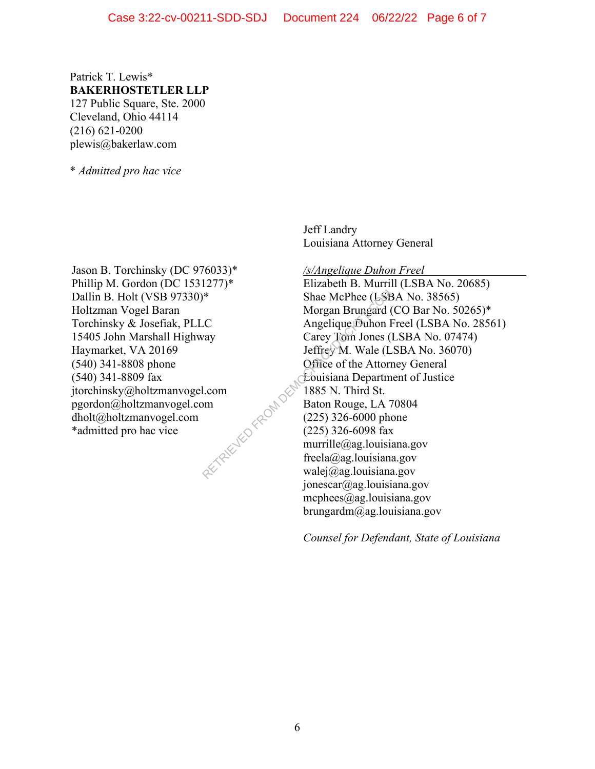Patrick T. Lewis\* **BAKERHOSTETLER LLP**  127 Public Square, Ste. 2000 Cleveland, Ohio 44114 (216) 621-0200 plewis@bakerlaw.com

\* *Admitted pro hac vice* 

Jason B. Torchinsky (DC 976033)\* Phillip M. Gordon (DC 1531277)\* Dallin B. Holt (VSB 97330)\* Holtzman Vogel Baran Torchinsky & Josefiak, PLLC 15405 John Marshall Highway Haymarket, VA 20169 (540) 341-8808 phone (540) 341-8809 fax jtorchinsky@holtzmanvogel.com pgordon@holtzmanvogel.com dholt@holtzmanvogel.com \*admitted pro hac vice RETRIEVED FROM DT Jeff Landry Louisiana Attorney General

*/s/Angelique Duhon Freel* 

Elizabeth B. Murrill (LSBA No. 20685) Shae McPhee (LSBA No. 38565) Morgan Brungard (CO Bar No. 50265)\* Angelique Duhon Freel (LSBA No. 28561) Carey Tom Jones (LSBA No. 07474) Jeffrey M. Wale (LSBA No. 36070) Office of the Attorney General Louisiana Department of Justice 1885 N. Third St. Baton Rouge, LA 70804 (225) 326-6000 phone (225) 326-6098 fax murrille@ag.louisiana.gov freela@ag.louisiana.gov walej@ag.louisiana.gov jonescar@ag.louisiana.gov mcphees@ag.louisiana.gov brungardm@ag.louisiana.gov

*Counsel for Defendant, State of Louisiana*